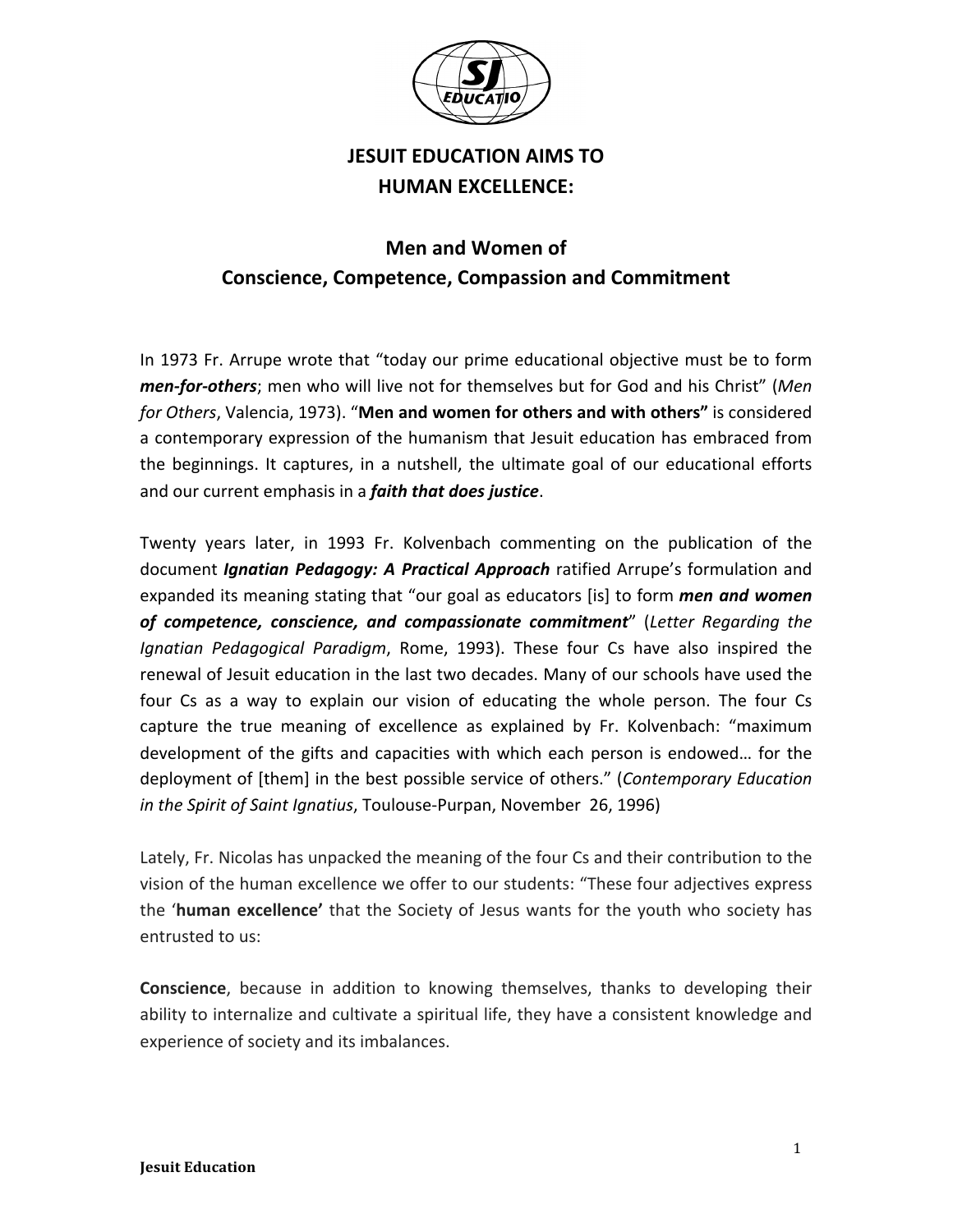

## **JESUIT EDUCATION AIMS TO HUMAN EXCELLENCE:**

# **Men and Women of Conscience, Competence, Compassion and Commitment**

In 1973 Fr. Arrupe wrote that "today our prime educational objective must be to form *men-for-others*; men who will live not for themselves but for God and his Christ" (Men for Others, Valencia, 1973). "Men and women for others and with others" is considered a contemporary expression of the humanism that Jesuit education has embraced from the beginnings. It captures, in a nutshell, the ultimate goal of our educational efforts and our current emphasis in a *faith that does justice*.

Twenty years later, in 1993 Fr. Kolvenbach commenting on the publication of the document *Ignatian Pedagogy: A Practical Approach* ratified Arrupe's formulation and expanded its meaning stating that "our goal as educators [is] to form *men and women* of competence, conscience, and compassionate commitment" (Letter Regarding the *Ignatian Pedagogical Paradigm*, Rome, 1993). These four Cs have also inspired the renewal of Jesuit education in the last two decades. Many of our schools have used the four Cs as a way to explain our vision of educating the whole person. The four Cs capture the true meaning of excellence as explained by Fr. Kolvenbach: "maximum development of the gifts and capacities with which each person is endowed... for the deployment of [them] in the best possible service of others." (*Contemporary Education in the Spirit of Saint Ignatius*, Toulouse-Purpan, November 26, 1996)

Lately, Fr. Nicolas has unpacked the meaning of the four Cs and their contribution to the vision of the human excellence we offer to our students: "These four adjectives express the **'human excellence'** that the Society of Jesus wants for the youth who society has entrusted to us:

**Conscience**, because in addition to knowing themselves, thanks to developing their ability to internalize and cultivate a spiritual life, they have a consistent knowledge and experience of society and its imbalances.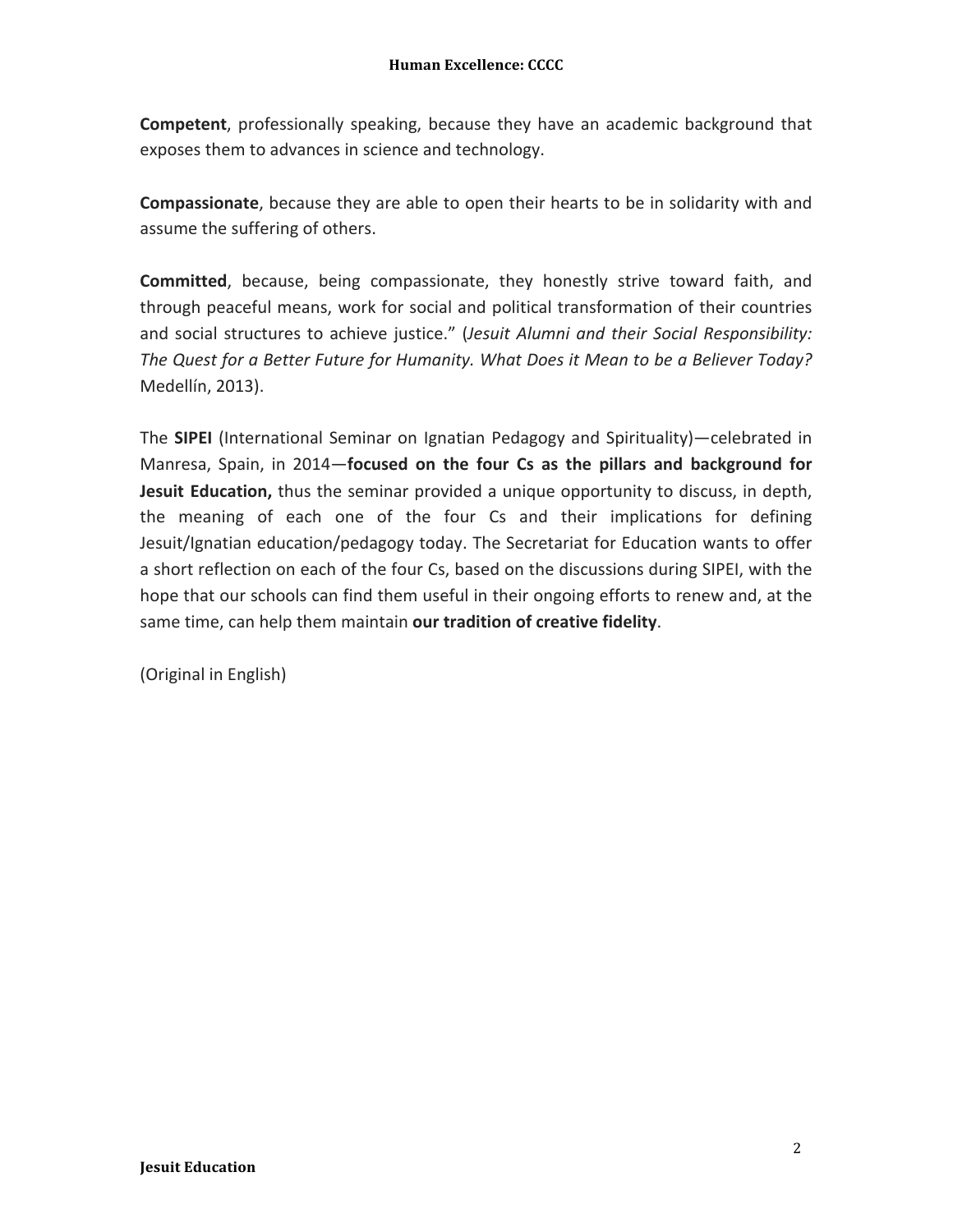**Competent**, professionally speaking, because they have an academic background that exposes them to advances in science and technology.

**Compassionate**, because they are able to open their hearts to be in solidarity with and assume the suffering of others.

**Committed**, because, being compassionate, they honestly strive toward faith, and through peaceful means, work for social and political transformation of their countries and social structures to achieve justice." (*Jesuit Alumni and their Social Responsibility:* The Quest for a Better Future for Humanity. What Does it Mean to be a Believer Today? Medellín, 2013).

The **SIPEI** (International Seminar on Ignatian Pedagogy and Spirituality)—celebrated in Manresa, Spain, in 2014–focused on the four Cs as the pillars and background for **Jesuit Education,** thus the seminar provided a unique opportunity to discuss, in depth, the meaning of each one of the four Cs and their implications for defining Jesuit/Ignatian education/pedagogy today. The Secretariat for Education wants to offer a short reflection on each of the four Cs, based on the discussions during SIPEI, with the hope that our schools can find them useful in their ongoing efforts to renew and, at the same time, can help them maintain our tradition of creative fidelity.

(Original in English)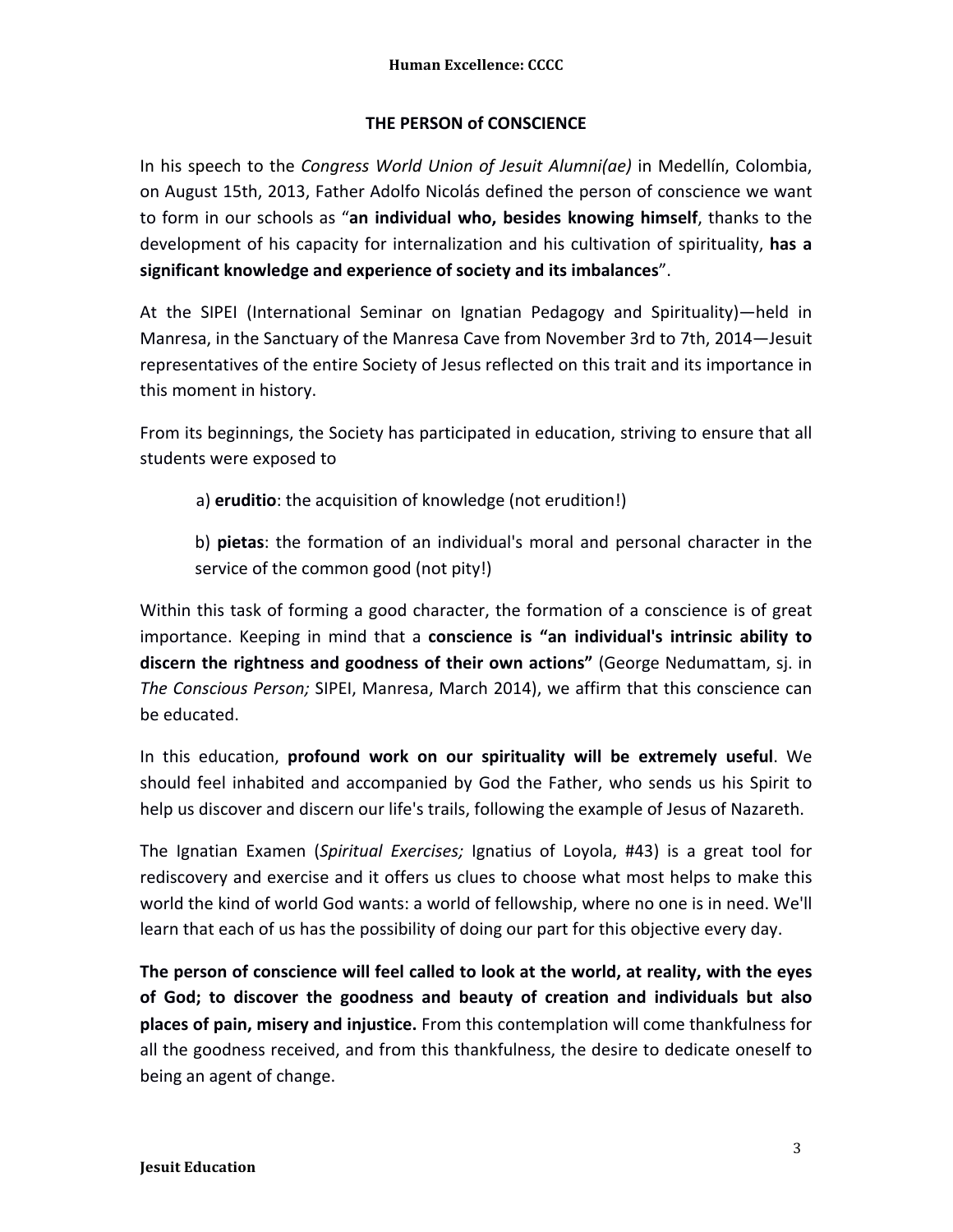### **THE PERSON of CONSCIENCE**

In his speech to the *Congress World Union of Jesuit Alumni(ae)* in Medellín, Colombia, on August 15th, 2013, Father Adolfo Nicolás defined the person of conscience we want to form in our schools as "an individual who, besides knowing himself, thanks to the development of his capacity for internalization and his cultivation of spirituality, has a **significant knowledge and experience of society and its imbalances".** 

At the SIPEI (International Seminar on Ignatian Pedagogy and Spirituality)-held in Manresa, in the Sanctuary of the Manresa Cave from November 3rd to 7th, 2014—Jesuit representatives of the entire Society of Jesus reflected on this trait and its importance in this moment in history.

From its beginnings, the Society has participated in education, striving to ensure that all students were exposed to

a) **eruditio**: the acquisition of knowledge (not erudition!)

b) **pietas**: the formation of an individual's moral and personal character in the service of the common good (not pity!)

Within this task of forming a good character, the formation of a conscience is of great importance. Keeping in mind that a conscience is "an individual's intrinsic ability to discern the rightness and goodness of their own actions" (George Nedumattam, sj. in *The Conscious Person;* SIPEI, Manresa, March 2014), we affirm that this conscience can be educated.

In this education, **profound work on our spirituality will be extremely useful**. We should feel inhabited and accompanied by God the Father, who sends us his Spirit to help us discover and discern our life's trails, following the example of Jesus of Nazareth.

The Ignatian Examen (Spiritual Exercises; Ignatius of Loyola, #43) is a great tool for rediscovery and exercise and it offers us clues to choose what most helps to make this world the kind of world God wants: a world of fellowship, where no one is in need. We'll learn that each of us has the possibility of doing our part for this objective every day.

The person of conscience will feel called to look at the world, at reality, with the eyes of God; to discover the goodness and beauty of creation and individuals but also **places of pain, misery and injustice.** From this contemplation will come thankfulness for all the goodness received, and from this thankfulness, the desire to dedicate oneself to being an agent of change.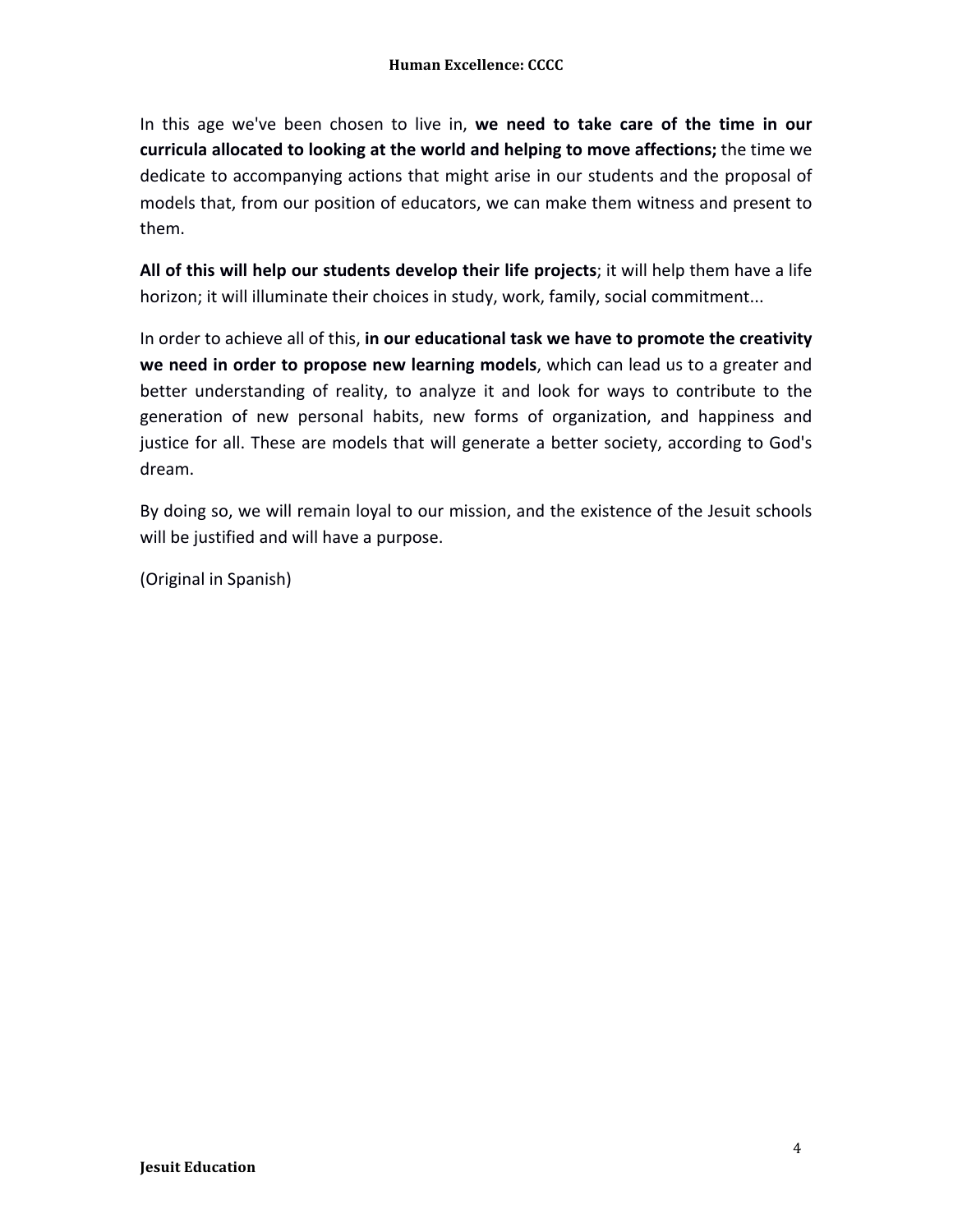In this age we've been chosen to live in, we need to take care of the time in our **curricula allocated to looking at the world and helping to move affections;** the time we dedicate to accompanying actions that might arise in our students and the proposal of models that, from our position of educators, we can make them witness and present to them.

**All of this will help our students develop their life projects;** it will help them have a life horizon; it will illuminate their choices in study, work, family, social commitment...

In order to achieve all of this, in our educational task we have to promote the creativity **we need in order to propose new learning models**, which can lead us to a greater and better understanding of reality, to analyze it and look for ways to contribute to the generation of new personal habits, new forms of organization, and happiness and justice for all. These are models that will generate a better society, according to God's dream. 

By doing so, we will remain loyal to our mission, and the existence of the Jesuit schools will be justified and will have a purpose.

(Original in Spanish)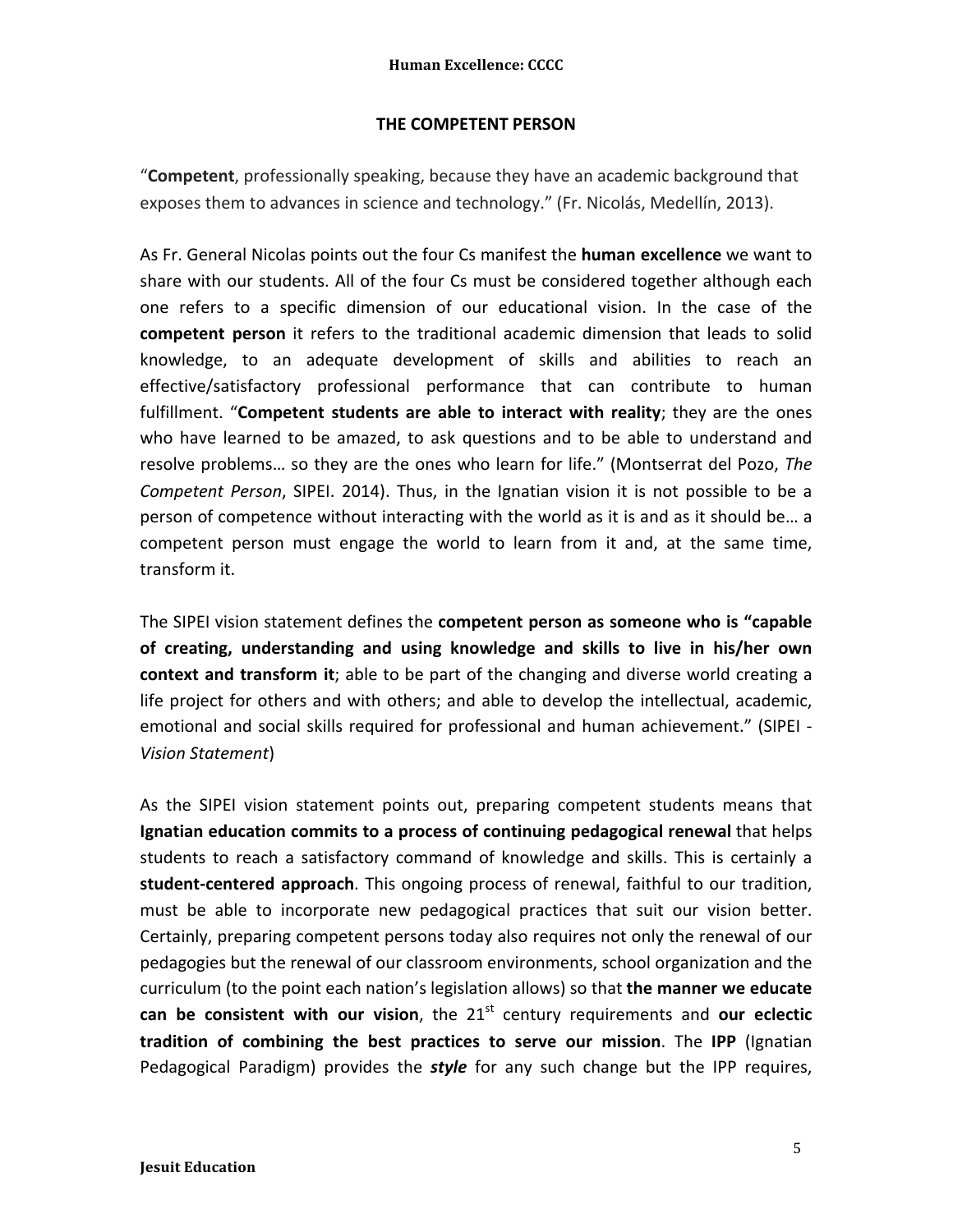#### **THE COMPETENT PERSON**

"**Competent**, professionally speaking, because they have an academic background that exposes them to advances in science and technology." (Fr. Nicolás, Medellín, 2013).

As Fr. General Nicolas points out the four Cs manifest the **human excellence** we want to share with our students. All of the four Cs must be considered together although each one refers to a specific dimension of our educational vision. In the case of the competent person it refers to the traditional academic dimension that leads to solid knowledge, to an adequate development of skills and abilities to reach an effective/satisfactory professional performance that can contribute to human fulfillment. "Competent students are able to interact with reality; they are the ones who have learned to be amazed, to ask questions and to be able to understand and resolve problems... so they are the ones who learn for life." (Montserrat del Pozo, The *Competent Person*, SIPEI. 2014). Thus, in the Ignatian vision it is not possible to be a person of competence without interacting with the world as it is and as it should be... a competent person must engage the world to learn from it and, at the same time, transform it.

The SIPEI vision statement defines the **competent person as someone who is "capable** of creating, understanding and using knowledge and skills to live in his/her own **context and transform it**; able to be part of the changing and diverse world creating a life project for others and with others; and able to develop the intellectual, academic, emotional and social skills required for professional and human achievement." (SIPEI -*Vision Statement*)

As the SIPEI vision statement points out, preparing competent students means that **Ignatian education commits to a process of continuing pedagogical renewal that helps** students to reach a satisfactory command of knowledge and skills. This is certainly a **student-centered approach**. This ongoing process of renewal, faithful to our tradition, must be able to incorporate new pedagogical practices that suit our vision better. Certainly, preparing competent persons today also requires not only the renewal of our pedagogies but the renewal of our classroom environments, school organization and the curriculum (to the point each nation's legislation allows) so that **the manner we educate can be consistent with our vision**, the 21<sup>st</sup> century requirements and **our eclectic tradition of combining the best practices to serve our mission. The IPP** (Ignatian Pedagogical Paradigm) provides the **style** for any such change but the IPP requires,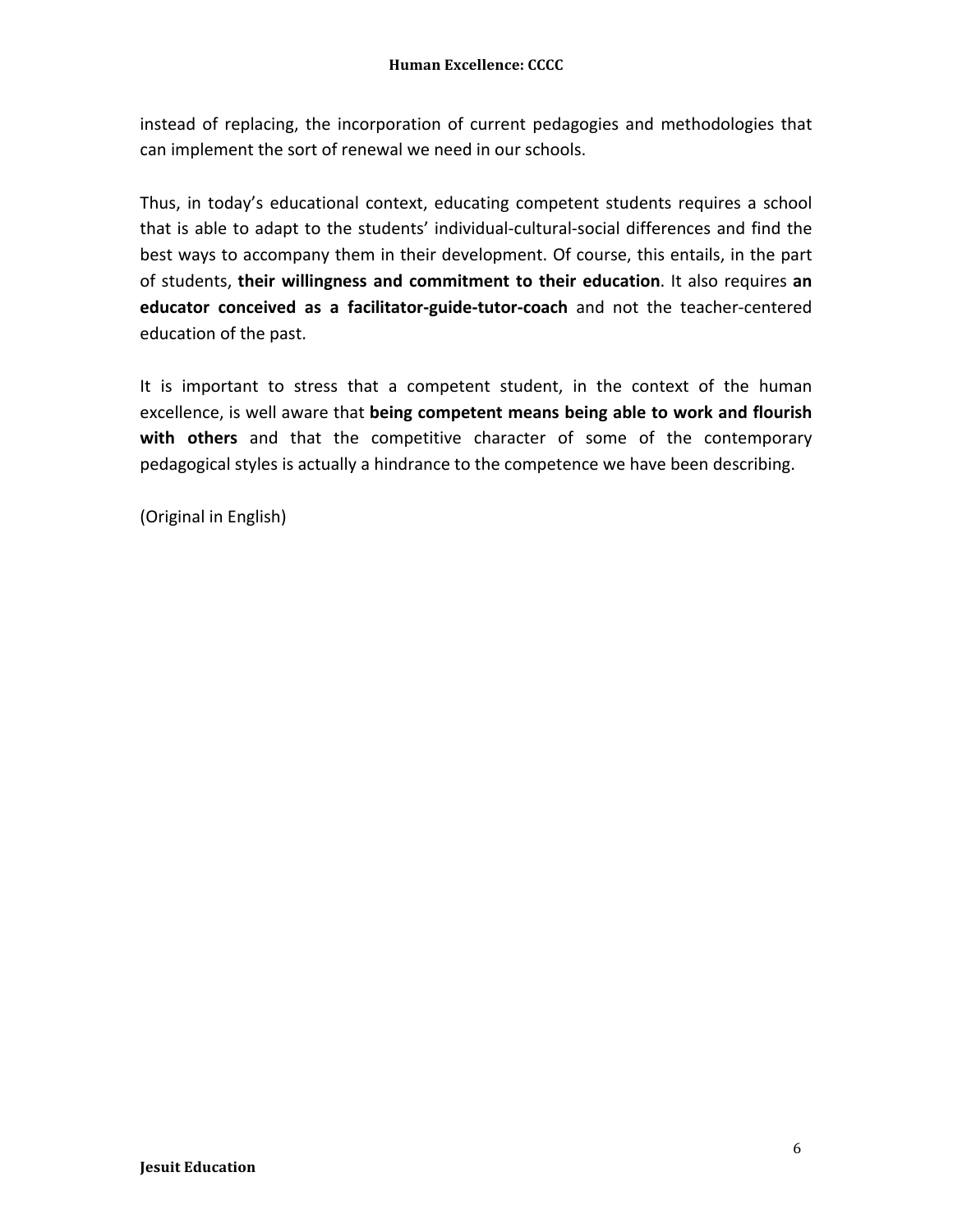instead of replacing, the incorporation of current pedagogies and methodologies that can implement the sort of renewal we need in our schools.

Thus, in today's educational context, educating competent students requires a school that is able to adapt to the students' individual-cultural-social differences and find the best ways to accompany them in their development. Of course, this entails, in the part of students, their willingness and commitment to their education. It also requires an educator conceived as a facilitator-guide-tutor-coach and not the teacher-centered education of the past.

It is important to stress that a competent student, in the context of the human excellence, is well aware that **being competent means being able to work and flourish** with others and that the competitive character of some of the contemporary pedagogical styles is actually a hindrance to the competence we have been describing.

(Original in English)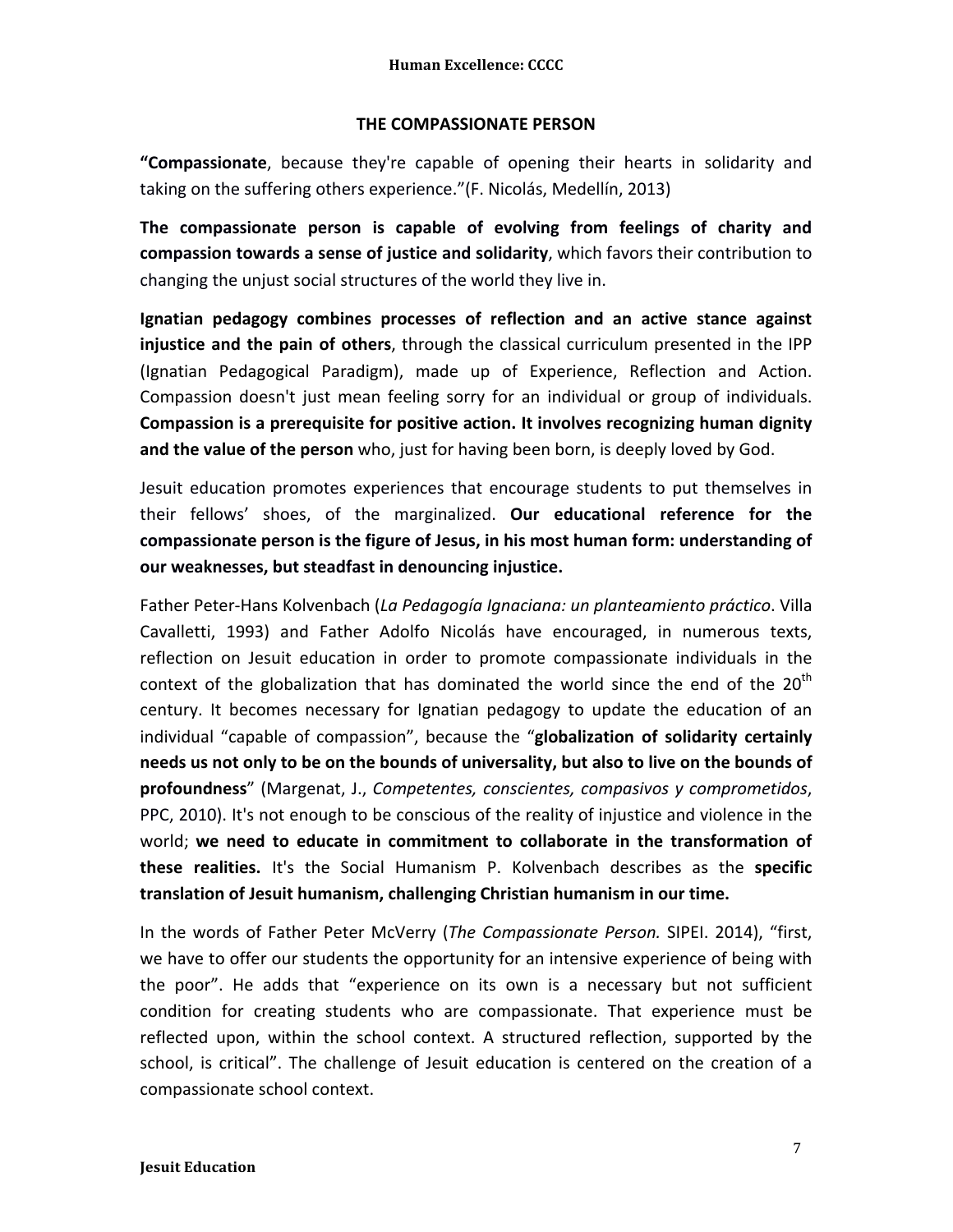#### **THE COMPASSIONATE PERSON**

**"Compassionate**, because they're capable of opening their hearts in solidarity and taking on the suffering others experience."(F. Nicolás, Medellín, 2013)

The compassionate person is capable of evolving from feelings of charity and **compassion towards a sense of justice and solidarity**, which favors their contribution to changing the unjust social structures of the world they live in.

**Ignatian pedagogy combines processes of reflection and an active stance against injustice and the pain of others**, through the classical curriculum presented in the IPP (Ignatian Pedagogical Paradigm), made up of Experience, Reflection and Action. Compassion doesn't just mean feeling sorry for an individual or group of individuals. Compassion is a prerequisite for positive action. It involves recognizing human dignity and the value of the person who, just for having been born, is deeply loved by God.

Jesuit education promotes experiences that encourage students to put themselves in their fellows' shoes, of the marginalized. Our educational reference for the compassionate person is the figure of Jesus, in his most human form: understanding of our weaknesses, but steadfast in denouncing injustice.

Father Peter-Hans Kolvenbach (La Pedagogía Ignaciana: un planteamiento práctico. Villa Cavalletti, 1993) and Father Adolfo Nicolás have encouraged, in numerous texts, reflection on Jesuit education in order to promote compassionate individuals in the context of the globalization that has dominated the world since the end of the  $20<sup>th</sup>$ century. It becomes necessary for Ignatian pedagogy to update the education of an individual "capable of compassion", because the "globalization of solidarity certainly needs us not only to be on the bounds of universality, but also to live on the bounds of **profoundness**" (Margenat, J., *Competentes, conscientes, compasivos y comprometidos,* PPC, 2010). It's not enough to be conscious of the reality of injustice and violence in the world; we need to educate in commitment to collaborate in the transformation of **these realities.** It's the Social Humanism P. Kolvenbach describes as the specific **translation of Jesuit humanism, challenging Christian humanism in our time.** 

In the words of Father Peter McVerry (*The Compassionate Person.* SIPEI. 2014), "first, we have to offer our students the opportunity for an intensive experience of being with the poor". He adds that "experience on its own is a necessary but not sufficient condition for creating students who are compassionate. That experience must be reflected upon, within the school context. A structured reflection, supported by the school, is critical". The challenge of Jesuit education is centered on the creation of a compassionate school context.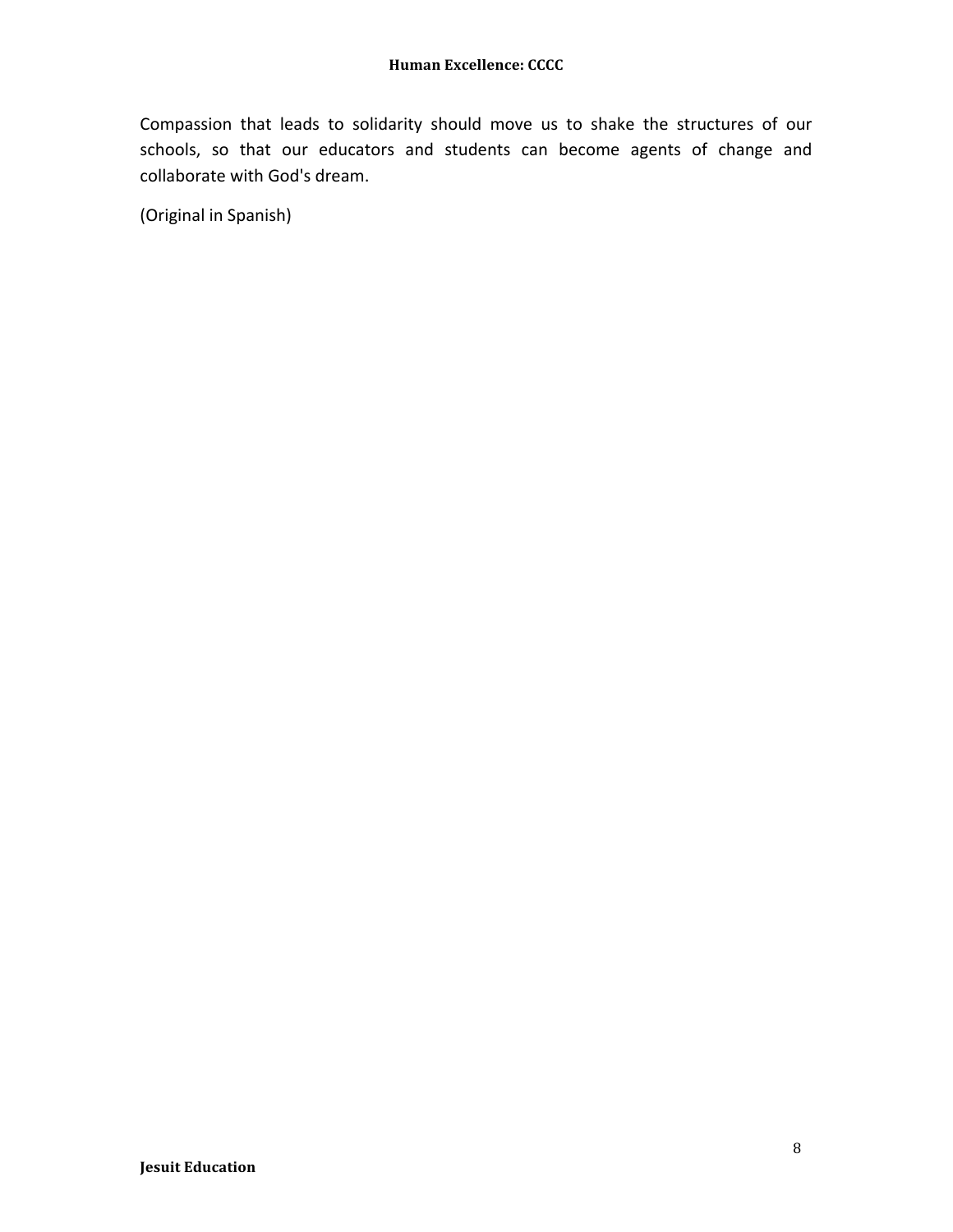Compassion that leads to solidarity should move us to shake the structures of our schools, so that our educators and students can become agents of change and collaborate with God's dream.

(Original in Spanish)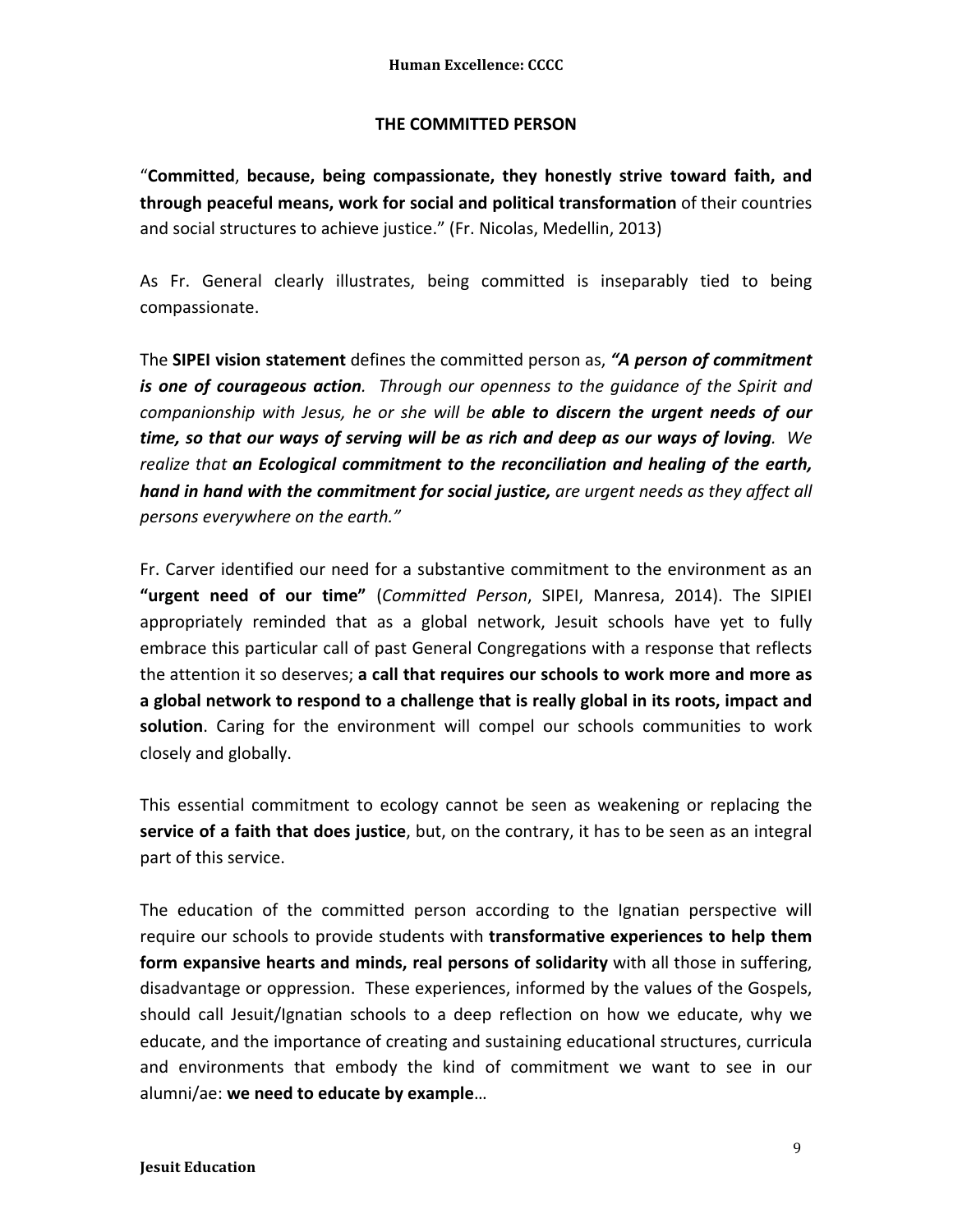#### **THE COMMITTED PERSON**

"Committed, because, being compassionate, they honestly strive toward faith, and **through peaceful means, work for social and political transformation** of their countries and social structures to achieve justice." (Fr. Nicolas, Medellin, 2013)

As Fr. General clearly illustrates, being committed is inseparably tied to being compassionate.

The **SIPEI vision statement** defines the committed person as, "A person of commitment *is* one of courageous action. Through our openness to the quidance of the Spirit and *companionship* with Jesus, he or she will be **able to discern the urgent needs of our** *time, so that our ways of serving will be as rich and deep as our ways of loving. We realize* that **an Ecological commitment to the reconciliation and healing of the earth, hand in hand with the commitment for social justice,** are urgent needs as they affect all *persons everywhere on the earth."*

Fr. Carver identified our need for a substantive commitment to the environment as an "urgent need of our time" (*Committed Person*, SIPEI, Manresa, 2014). The SIPIEI appropriately reminded that as a global network, Jesuit schools have yet to fully embrace this particular call of past General Congregations with a response that reflects the attention it so deserves; a call that requires our schools to work more and more as a global network to respond to a challenge that is really global in its roots, impact and solution. Caring for the environment will compel our schools communities to work closely and globally.

This essential commitment to ecology cannot be seen as weakening or replacing the **service of a faith that does justice**, but, on the contrary, it has to be seen as an integral part of this service.

The education of the committed person according to the Ignatian perspective will require our schools to provide students with **transformative experiences to help them form expansive hearts and minds, real persons of solidarity** with all those in suffering, disadvantage or oppression. These experiences, informed by the values of the Gospels, should call Jesuit/Ignatian schools to a deep reflection on how we educate, why we educate, and the importance of creating and sustaining educational structures, curricula and environments that embody the kind of commitment we want to see in our alumni/ae: we need to educate by example...